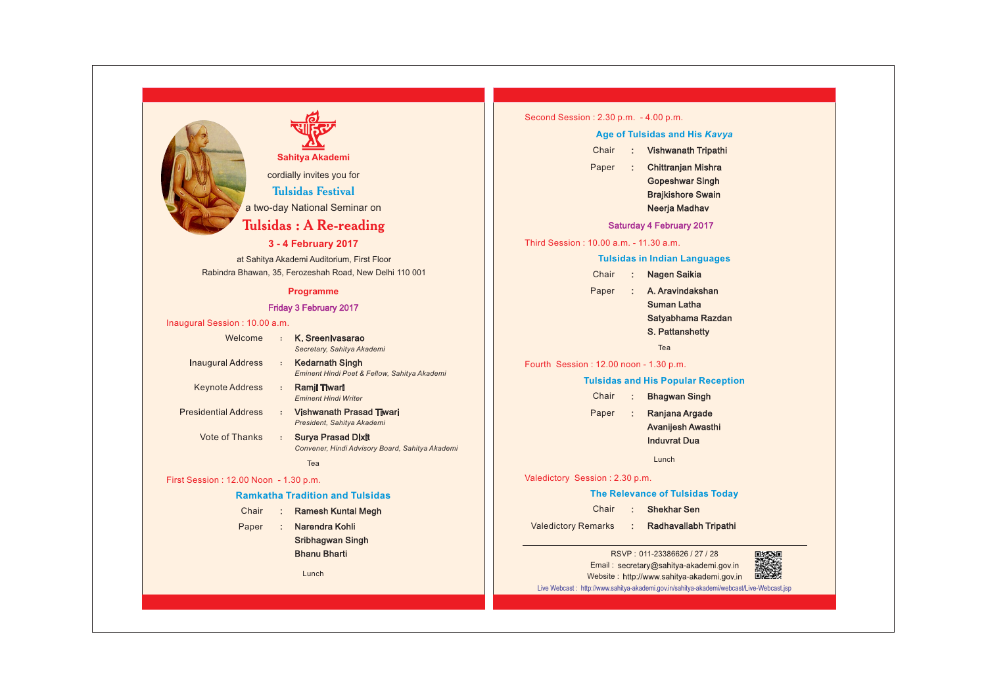